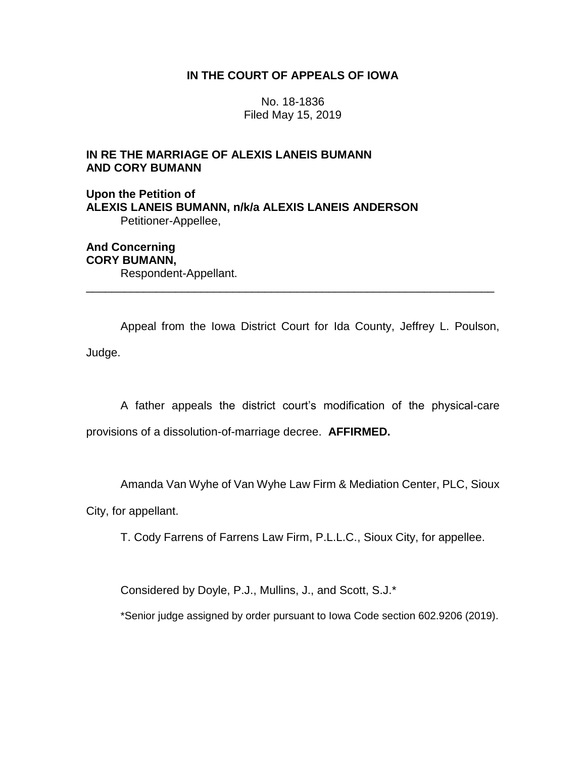## **IN THE COURT OF APPEALS OF IOWA**

No. 18-1836 Filed May 15, 2019

## **IN RE THE MARRIAGE OF ALEXIS LANEIS BUMANN AND CORY BUMANN**

**Upon the Petition of ALEXIS LANEIS BUMANN, n/k/a ALEXIS LANEIS ANDERSON** Petitioner-Appellee,

**And Concerning CORY BUMANN,** Respondent-Appellant.

Appeal from the Iowa District Court for Ida County, Jeffrey L. Poulson, Judge.

\_\_\_\_\_\_\_\_\_\_\_\_\_\_\_\_\_\_\_\_\_\_\_\_\_\_\_\_\_\_\_\_\_\_\_\_\_\_\_\_\_\_\_\_\_\_\_\_\_\_\_\_\_\_\_\_\_\_\_\_\_\_\_\_

A father appeals the district court's modification of the physical-care provisions of a dissolution-of-marriage decree. **AFFIRMED.**

Amanda Van Wyhe of Van Wyhe Law Firm & Mediation Center, PLC, Sioux

City, for appellant.

T. Cody Farrens of Farrens Law Firm, P.L.L.C., Sioux City, for appellee.

Considered by Doyle, P.J., Mullins, J., and Scott, S.J.\*

\*Senior judge assigned by order pursuant to Iowa Code section 602.9206 (2019).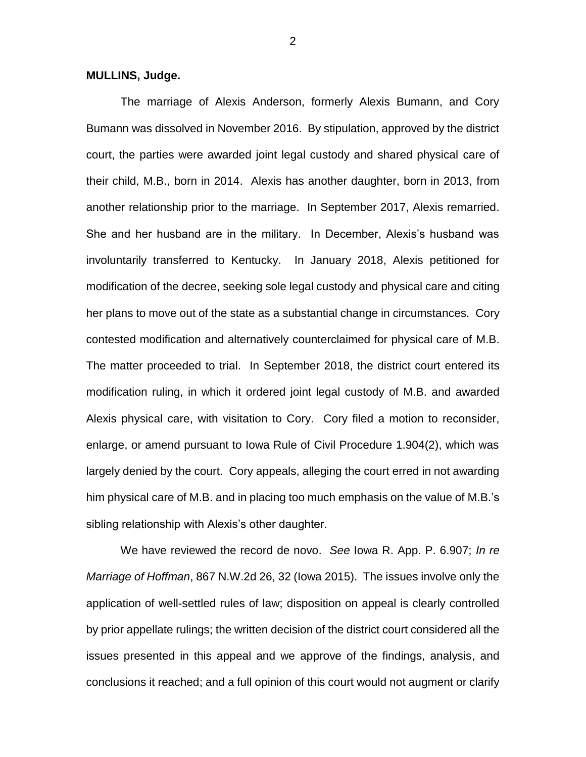## **MULLINS, Judge.**

The marriage of Alexis Anderson, formerly Alexis Bumann, and Cory Bumann was dissolved in November 2016. By stipulation, approved by the district court, the parties were awarded joint legal custody and shared physical care of their child, M.B., born in 2014. Alexis has another daughter, born in 2013, from another relationship prior to the marriage. In September 2017, Alexis remarried. She and her husband are in the military. In December, Alexis's husband was involuntarily transferred to Kentucky. In January 2018, Alexis petitioned for modification of the decree, seeking sole legal custody and physical care and citing her plans to move out of the state as a substantial change in circumstances. Cory contested modification and alternatively counterclaimed for physical care of M.B. The matter proceeded to trial. In September 2018, the district court entered its modification ruling, in which it ordered joint legal custody of M.B. and awarded Alexis physical care, with visitation to Cory. Cory filed a motion to reconsider, enlarge, or amend pursuant to Iowa Rule of Civil Procedure 1.904(2), which was largely denied by the court. Cory appeals, alleging the court erred in not awarding him physical care of M.B. and in placing too much emphasis on the value of M.B.'s sibling relationship with Alexis's other daughter.

We have reviewed the record de novo. *See* Iowa R. App. P. 6.907; *In re Marriage of Hoffman*, 867 N.W.2d 26, 32 (Iowa 2015). The issues involve only the application of well-settled rules of law; disposition on appeal is clearly controlled by prior appellate rulings; the written decision of the district court considered all the issues presented in this appeal and we approve of the findings, analysis, and conclusions it reached; and a full opinion of this court would not augment or clarify